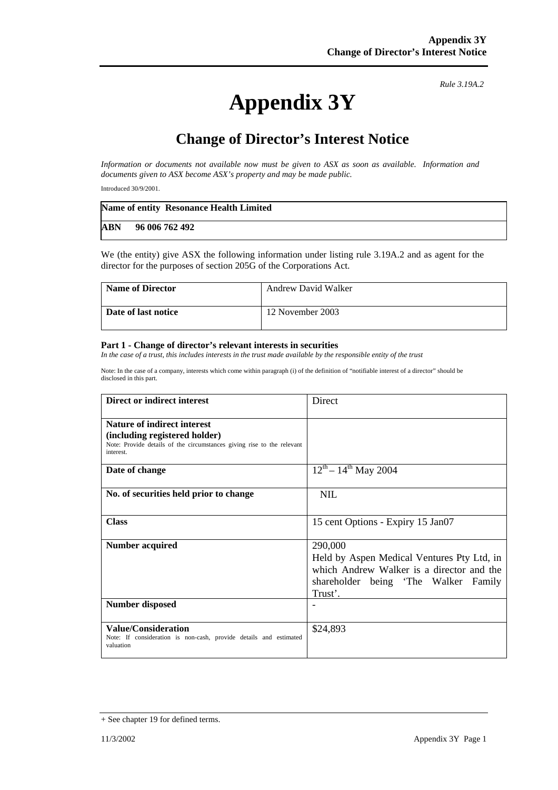## **Appendix 3Y**

*Rule 3.19A.2*

## **Change of Director's Interest Notice**

*Information or documents not available now must be given to ASX as soon as available. Information and documents given to ASX become ASX's property and may be made public.* 

Introduced 30/9/2001.

|            | Name of entity Resonance Health Limited |
|------------|-----------------------------------------|
| <b>ABN</b> | 96 006 762 492                          |

We (the entity) give ASX the following information under listing rule 3.19A.2 and as agent for the director for the purposes of section 205G of the Corporations Act.

| <b>Name of Director</b> | <b>Andrew David Walker</b> |
|-------------------------|----------------------------|
| Date of last notice     | 12 November 2003           |

## **Part 1 - Change of director's relevant interests in securities**

In the case of a trust, this includes interests in the trust made available by the responsible entity of the trust

Note: In the case of a company, interests which come within paragraph (i) of the definition of "notifiable interest of a director" should be disclosed in this part.

| Direct or indirect interest                                                                                          | <b>Direct</b>                                         |
|----------------------------------------------------------------------------------------------------------------------|-------------------------------------------------------|
| <b>Nature of indirect interest</b>                                                                                   |                                                       |
| (including registered holder)<br>Note: Provide details of the circumstances giving rise to the relevant<br>interest. |                                                       |
| Date of change                                                                                                       | $12^{th} - 14^{th}$ May 2004                          |
| No. of securities held prior to change                                                                               | <b>NIL</b>                                            |
| <b>Class</b>                                                                                                         | 15 cent Options - Expiry 15 Jan07                     |
| Number acquired                                                                                                      | 290,000<br>Held by Aspen Medical Ventures Pty Ltd, in |
|                                                                                                                      | which Andrew Walker is a director and the             |
|                                                                                                                      | shareholder being 'The Walker Family                  |
|                                                                                                                      | Trust'.                                               |
| Number disposed                                                                                                      |                                                       |
| <b>Value/Consideration</b><br>Note: If consideration is non-cash, provide details and estimated<br>valuation         | \$24,893                                              |

<sup>+</sup> See chapter 19 for defined terms.